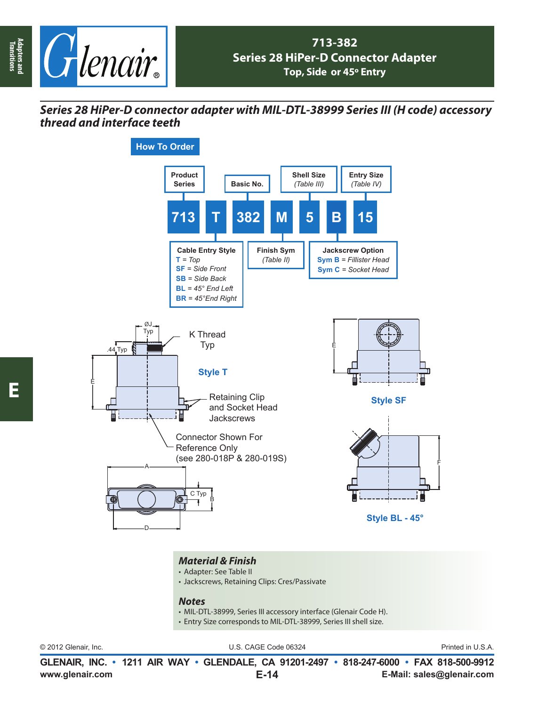

## *Series 28 HiPer-D connector adapter with MIL-DTL-38999 Series III (H code) accessory thread and interface teeth*



## *Material & Finish*

- Adapter: See Table II
- Jackscrews, Retaining Clips: Cres/Passivate

## *Notes*

- MIL-DTL-38999, Series III accessory interface (Glenair Code H).
- Entry Size corresponds to MIL-DTL-38999, Series III shell size.

© 2012 Glenair, Inc. U.S. CAGE Code 06324 Printed in U.S.A.

**www.glenair.com E-Mail: sales@glenair.com GLENAIR, INC. • 1211 AIR WAY • GLENDALE, CA 91201-2497 • 818-247-6000 • FAX 818-500-9912 E-14**

**Adapters and Transitions**

Adapters and<br>Transitions